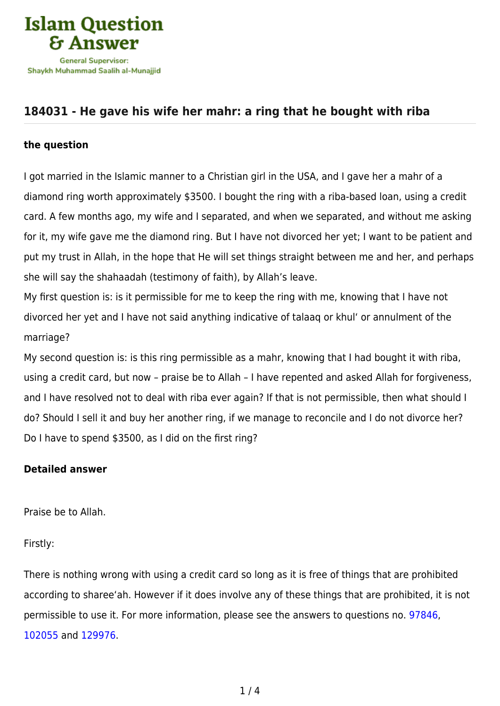

# **[184031 - He gave his wife her mahr: a ring that he bought with riba](https://islamqa.com/en/answers/184031/he-gave-his-wife-her-mahr-a-ring-that-he-bought-with-riba)**

## **the question**

I got married in the Islamic manner to a Christian girl in the USA, and I gave her a mahr of a diamond ring worth approximately \$3500. I bought the ring with a riba-based loan, using a credit card. A few months ago, my wife and I separated, and when we separated, and without me asking for it, my wife gave me the diamond ring. But I have not divorced her yet; I want to be patient and put my trust in Allah, in the hope that He will set things straight between me and her, and perhaps she will say the shahaadah (testimony of faith), by Allah's leave.

My first question is: is it permissible for me to keep the ring with me, knowing that I have not divorced her yet and I have not said anything indicative of talaaq or khul' or annulment of the marriage?

My second question is: is this ring permissible as a mahr, knowing that I had bought it with riba, using a credit card, but now – praise be to Allah – I have repented and asked Allah for forgiveness, and I have resolved not to deal with riba ever again? If that is not permissible, then what should I do? Should I sell it and buy her another ring, if we manage to reconcile and I do not divorce her? Do I have to spend \$3500, as I did on the first ring?

## **Detailed answer**

Praise be to Allah.

Firstly:

There is nothing wrong with using a credit card so long as it is free of things that are prohibited according to sharee'ah. However if it does involve any of these things that are prohibited, it is not permissible to use it. For more information, please see the answers to questions no. [97846,](https://islamqa.com/ar/answers/) [102055](https://islamqa.com/en/answers/102055) and [129976.](https://islamqa.com/en/answers/129976)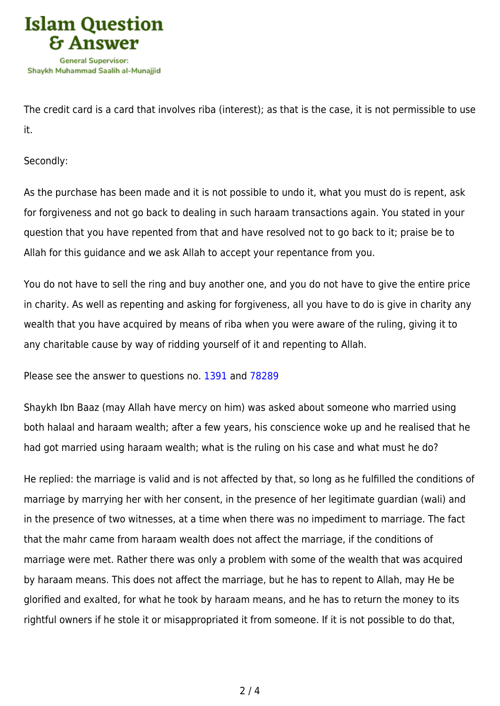

The credit card is a card that involves riba (interest); as that is the case, it is not permissible to use it.

Secondly:

As the purchase has been made and it is not possible to undo it, what you must do is repent, ask for forgiveness and not go back to dealing in such haraam transactions again. You stated in your question that you have repented from that and have resolved not to go back to it; praise be to Allah for this guidance and we ask Allah to accept your repentance from you.

You do not have to sell the ring and buy another one, and you do not have to give the entire price in charity. As well as repenting and asking for forgiveness, all you have to do is give in charity any wealth that you have acquired by means of riba when you were aware of the ruling, giving it to any charitable cause by way of ridding yourself of it and repenting to Allah.

Please see the answer to questions no. [1391](https://islamqa.com/en/answers/1391) and [78289](https://islamqa.com/en/answers/78289)

Shaykh Ibn Baaz (may Allah have mercy on him) was asked about someone who married using both halaal and haraam wealth; after a few years, his conscience woke up and he realised that he had got married using haraam wealth; what is the ruling on his case and what must he do?

He replied: the marriage is valid and is not affected by that, so long as he fulfilled the conditions of marriage by marrying her with her consent, in the presence of her legitimate guardian (wali) and in the presence of two witnesses, at a time when there was no impediment to marriage. The fact that the mahr came from haraam wealth does not affect the marriage, if the conditions of marriage were met. Rather there was only a problem with some of the wealth that was acquired by haraam means. This does not affect the marriage, but he has to repent to Allah, may He be glorified and exalted, for what he took by haraam means, and he has to return the money to its rightful owners if he stole it or misappropriated it from someone. If it is not possible to do that,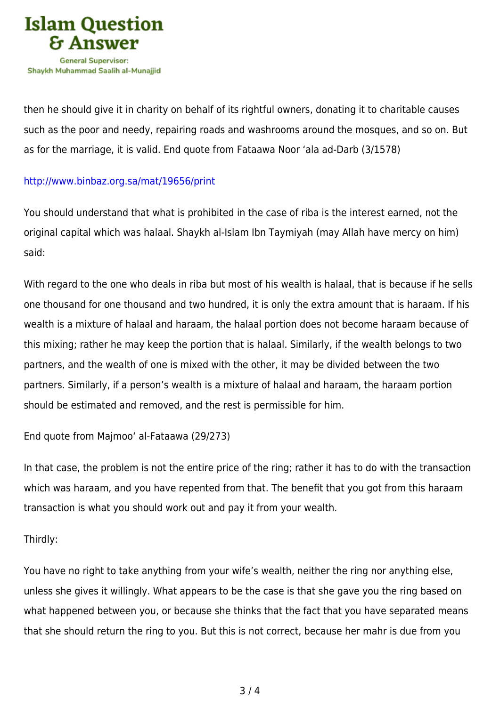

then he should give it in charity on behalf of its rightful owners, donating it to charitable causes such as the poor and needy, repairing roads and washrooms around the mosques, and so on. But as for the marriage, it is valid. End quote from Fataawa Noor 'ala ad-Darb (3/1578)

### <http://www.binbaz.org.sa/mat/19656/print>

You should understand that what is prohibited in the case of riba is the interest earned, not the original capital which was halaal. Shaykh al-Islam Ibn Taymiyah (may Allah have mercy on him) said:

With regard to the one who deals in riba but most of his wealth is halaal, that is because if he sells one thousand for one thousand and two hundred, it is only the extra amount that is haraam. If his wealth is a mixture of halaal and haraam, the halaal portion does not become haraam because of this mixing; rather he may keep the portion that is halaal. Similarly, if the wealth belongs to two partners, and the wealth of one is mixed with the other, it may be divided between the two partners. Similarly, if a person's wealth is a mixture of halaal and haraam, the haraam portion should be estimated and removed, and the rest is permissible for him.

End quote from Majmoo' al-Fataawa (29/273)

In that case, the problem is not the entire price of the ring; rather it has to do with the transaction which was haraam, and you have repented from that. The benefit that you got from this haraam transaction is what you should work out and pay it from your wealth.

### Thirdly:

You have no right to take anything from your wife's wealth, neither the ring nor anything else, unless she gives it willingly. What appears to be the case is that she gave you the ring based on what happened between you, or because she thinks that the fact that you have separated means that she should return the ring to you. But this is not correct, because her mahr is due from you